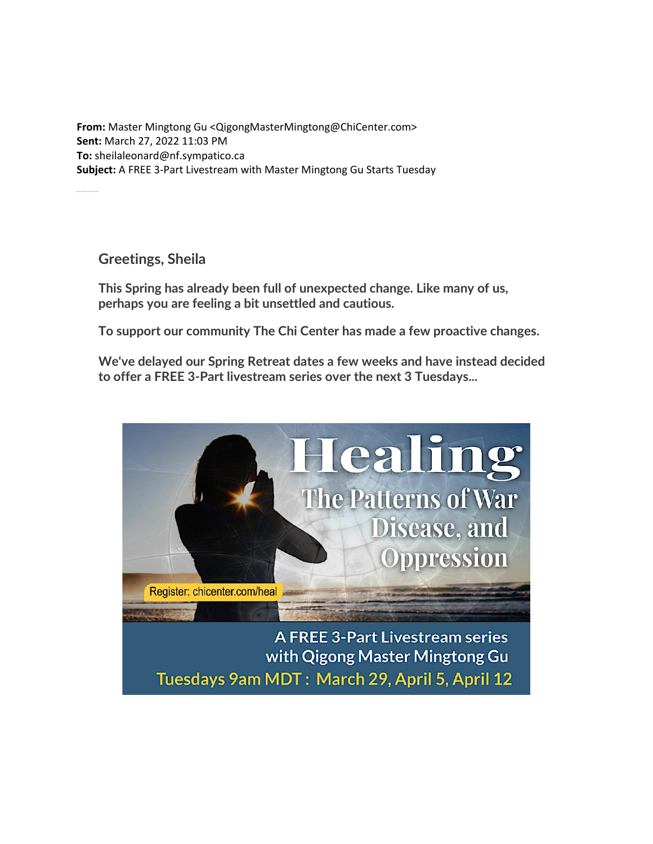**From:** Master Mingtong Gu <QigongMasterMingtong@ChiCenter.com> **Sent:** March 27, 2022 11:03 PM **To:** sheilaleonard@nf.sympatico.ca **Subject:** A FREE 3-Part Livestream with Master Mingtong Gu Starts Tuesday

**Greetings, Sheila**

Register now. T uesdays: March 29, April 5, April 12

**This Spring has already been full of unexpected change. Like many of us, perhaps you are feeling a bit unsettled and cautious.**

**To support our community The Chi Center has made a few proactive changes.**

**We've delayed our Spring Retreat dates a few weeks and have instead decided to offer a FREE 3-Part livestream series over the next 3 Tuesdays...**



**A FREE 3-Part Livestream series** with Qigong Master Mingtong Gu Tuesdays 9am MDT: March 29, April 5, April 12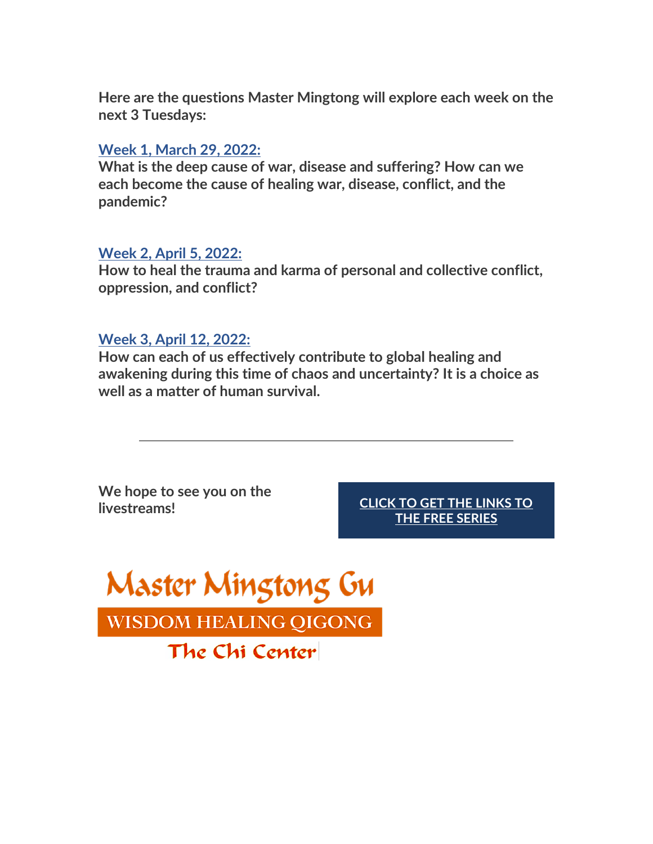**Here are the questions Master Mingtong will explore each week on the next 3 Tuesdays:**

## **[Week 1, March 29, 2022:](https://cq860.keap-link014.com/v2/click/81c4b3ce31a1ee63ddddd4b4df698607/eJyNkM1qwzAQhN9lzybWT7At30IIwTjNobTnosgrKppIirwuhOB3r5KWnFrobdmZ_YbZKxB67akboAVzbioGBSQ0Ljr0tA6etLmLkhdwdP5jm8IUob3-dvfQb1tRsaUqgC4Rs-XlebXuu_32bdft-2yNOmX-fziy5ozzB2jztOp2MM9_kvHkaPOZ4SO0lCa81RlcrkSv6Zj970RxbMvyHrZw3k6jC34MlhYmnEodY2lDyoO0UjUHxs2g68ZUyihplK1RCMGEPOSo7EU__Dypx8t34PwFw25suA==)**

**What is the deep cause of war, disease and suffering? How can we each become the cause of healing war, disease, conflict, and the pandemic?**

## **[Week 2, April 5, 2022:](https://cq860.keap-link011.com/v2/click/09b2b29b93ab58d0939c525dfd47afc4/eJyNkE9rAjEQxb_LnMXNJnT_3URElrUepD1LzE5oqCZpdrYgst_dUUt7aaG3Yea93-PNBQi99tT20ID5qAoBM0hoXHToaRk8aXM_qnwGR-ff1ymMEZrLb77v-20rC_HEHjpHZMnLbrHs2u16v2m3HUujTsz_D0eVuch_QKvnRbuBafqTjCdHq0-GD9BQGvFWp3dciV7TkfVvRHFosuweNnfejoMLfgiW5iacMh1jZkPiQVlVVweRm16XlSlqUytT2xKllEKqA0exFn3_9aQOz4_A6Qq8tWyx)**

**How to heal the trauma and karma of personal and collective conflict, oppression, and conflict?**

## **[Week 3, April 12, 2022:](https://cq860.keap-link012.com/v2/click/991de23778118d74b64d82653a74d3f0/eJyNkM1rAjEQxf-XOS9uPnC_biIiy1oPRc8SsxMaqknMzhZE9n9v1OKphd6GeW9-jzc3IHTKUdtDA_pSFQwyiKhtsOho6R0p_RAlz-Bk3ec6-jFAc_vt7qXft6Jgc5kBXQMmy-59seza7fqwabddsgYVE_8_HFlyxvkLtHpbtBuYpj_JeLa0-krwARqKI97r9DZVon08Jf8HURiaPH-Ezawz42C9G7yhmfbnXIWQGx_TII2sqyPjuldlpYta11LXpkQhBBPymKKSF13_86QOr8_A6Ru-oWyz)**

**How can each of us effectively contribute to global healing and awakening during this time of chaos and uncertainty? It is a choice as well as a matter of human survival.**

**We hope to see you on the livestreams! [CLICK TO GET THE LINKS TO](https://cq860.keap-link017.com/v2/click/b08713443d2512388ace6d17a84b71c5/eJyNkM1rAjEQxf-XOS9uPux-3URElrUeip5LzE4wqEmanS2I7P_eaIunFnob5r35Pd7cgNApR20PDeiPqmCQQURtg0VHS-9I6YcoeQZn607r6McAze23u6d-34qCzV8yoGvAZNm9LZZdu12_b9ptl6xBxcT_D0eWnHH-BK1eF-0GpulPMl4srT4TfICG4oj3Or1NlWgfz8l_JApDk-ePsJl1Zhysd4M3NNP-kqsQcuNjGqSRdXVgXPeqrHRR61rq2pQohGBCHlJU8qLrf57U4fU7cPoCv5ZstA==)** 

**[THE FREE SERIES](https://cq860.keap-link017.com/v2/click/b08713443d2512388ace6d17a84b71c5/eJyNkM1rAjEQxf-XOS9uPux-3URElrUeip5LzE4wqEmanS2I7P_eaIunFnob5r35Pd7cgNApR20PDeiPqmCQQURtg0VHS-9I6YcoeQZn607r6McAze23u6d-34qCzV8yoGvAZNm9LZZdu12_b9ptl6xBxcT_D0eWnHH-BK1eF-0GpulPMl4srT4TfICG4oj3Or1NlWgfz8l_JApDk-ePsJl1Zhysd4M3NNP-kqsQcuNjGqSRdXVgXPeqrHRR61rq2pQohGBCHlJU8qLrf57U4fU7cPoCv5ZstA==)**